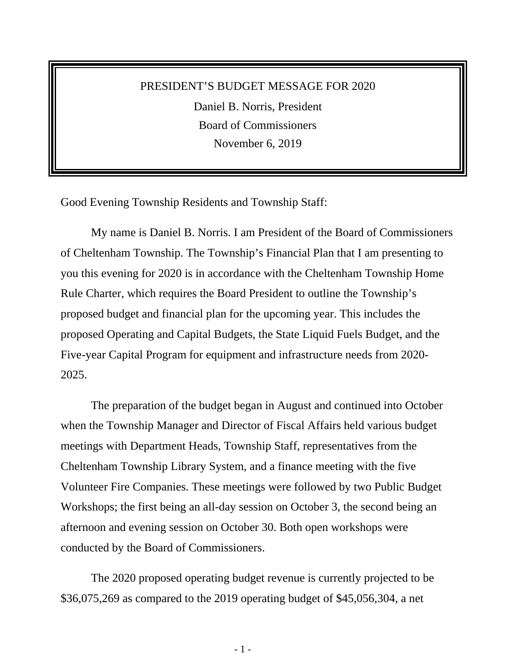## PRESIDENT'S BUDGET MESSAGE FOR 2020 Daniel B. Norris, President Board of Commissioners November 6, 2019

Good Evening Township Residents and Township Staff:

My name is Daniel B. Norris. I am President of the Board of Commissioners of Cheltenham Township. The Township's Financial Plan that I am presenting to you this evening for 2020 is in accordance with the Cheltenham Township Home Rule Charter, which requires the Board President to outline the Township's proposed budget and financial plan for the upcoming year. This includes the proposed Operating and Capital Budgets, the State Liquid Fuels Budget, and the Five-year Capital Program for equipment and infrastructure needs from 2020- 2025.

The preparation of the budget began in August and continued into October when the Township Manager and Director of Fiscal Affairs held various budget meetings with Department Heads, Township Staff, representatives from the Cheltenham Township Library System, and a finance meeting with the five Volunteer Fire Companies. These meetings were followed by two Public Budget Workshops; the first being an all-day session on October 3, the second being an afternoon and evening session on October 30. Both open workshops were conducted by the Board of Commissioners.

The 2020 proposed operating budget revenue is currently projected to be \$36,075,269 as compared to the 2019 operating budget of \$45,056,304, a net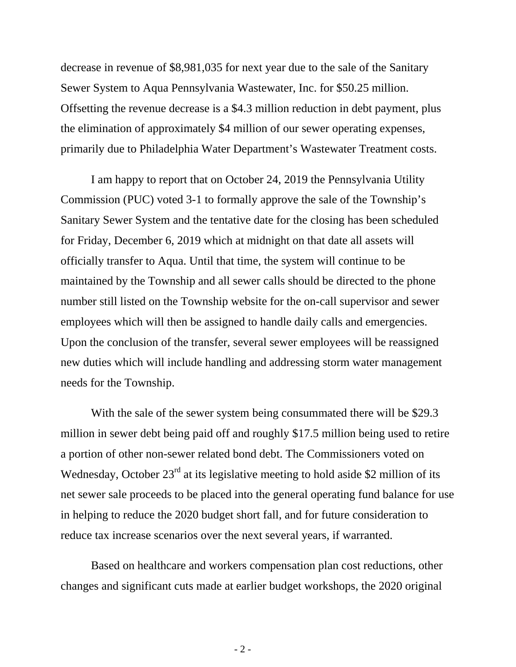decrease in revenue of \$8,981,035 for next year due to the sale of the Sanitary Sewer System to Aqua Pennsylvania Wastewater, Inc. for \$50.25 million. Offsetting the revenue decrease is a \$4.3 million reduction in debt payment, plus the elimination of approximately \$4 million of our sewer operating expenses, primarily due to Philadelphia Water Department's Wastewater Treatment costs.

I am happy to report that on October 24, 2019 the Pennsylvania Utility Commission (PUC) voted 3-1 to formally approve the sale of the Township's Sanitary Sewer System and the tentative date for the closing has been scheduled for Friday, December 6, 2019 which at midnight on that date all assets will officially transfer to Aqua. Until that time, the system will continue to be maintained by the Township and all sewer calls should be directed to the phone number still listed on the Township website for the on-call supervisor and sewer employees which will then be assigned to handle daily calls and emergencies. Upon the conclusion of the transfer, several sewer employees will be reassigned new duties which will include handling and addressing storm water management needs for the Township.

With the sale of the sewer system being consummated there will be \$29.3 million in sewer debt being paid off and roughly \$17.5 million being used to retire a portion of other non-sewer related bond debt. The Commissioners voted on Wednesday, October  $23<sup>rd</sup>$  at its legislative meeting to hold aside \$2 million of its net sewer sale proceeds to be placed into the general operating fund balance for use in helping to reduce the 2020 budget short fall, and for future consideration to reduce tax increase scenarios over the next several years, if warranted.

Based on healthcare and workers compensation plan cost reductions, other changes and significant cuts made at earlier budget workshops, the 2020 original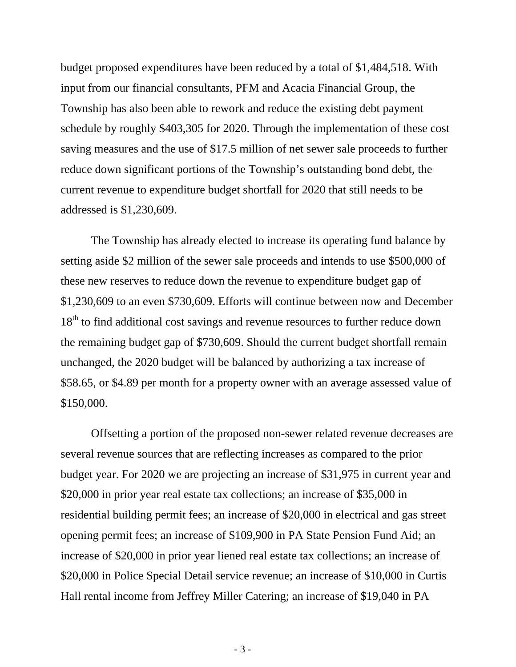budget proposed expenditures have been reduced by a total of \$1,484,518. With input from our financial consultants, PFM and Acacia Financial Group, the Township has also been able to rework and reduce the existing debt payment schedule by roughly \$403,305 for 2020. Through the implementation of these cost saving measures and the use of \$17.5 million of net sewer sale proceeds to further reduce down significant portions of the Township's outstanding bond debt, the current revenue to expenditure budget shortfall for 2020 that still needs to be addressed is \$1,230,609.

The Township has already elected to increase its operating fund balance by setting aside \$2 million of the sewer sale proceeds and intends to use \$500,000 of these new reserves to reduce down the revenue to expenditure budget gap of \$1,230,609 to an even \$730,609. Efforts will continue between now and December 18<sup>th</sup> to find additional cost savings and revenue resources to further reduce down the remaining budget gap of \$730,609. Should the current budget shortfall remain unchanged, the 2020 budget will be balanced by authorizing a tax increase of \$58.65, or \$4.89 per month for a property owner with an average assessed value of \$150,000.

Offsetting a portion of the proposed non-sewer related revenue decreases are several revenue sources that are reflecting increases as compared to the prior budget year. For 2020 we are projecting an increase of \$31,975 in current year and \$20,000 in prior year real estate tax collections; an increase of \$35,000 in residential building permit fees; an increase of \$20,000 in electrical and gas street opening permit fees; an increase of \$109,900 in PA State Pension Fund Aid; an increase of \$20,000 in prior year liened real estate tax collections; an increase of \$20,000 in Police Special Detail service revenue; an increase of \$10,000 in Curtis Hall rental income from Jeffrey Miller Catering; an increase of \$19,040 in PA

- 3 -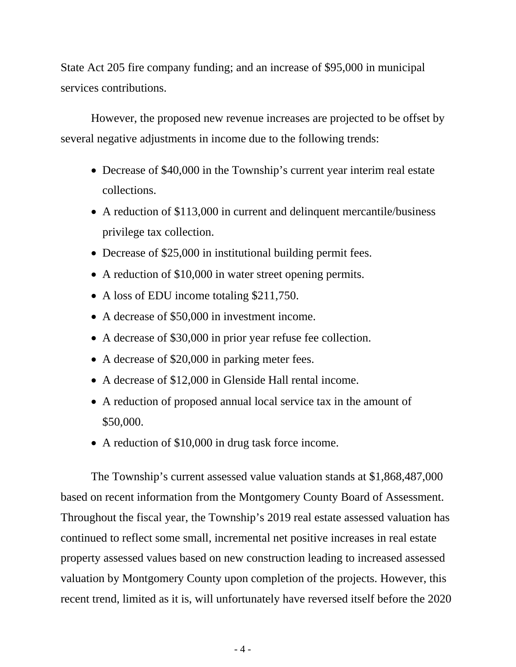State Act 205 fire company funding; and an increase of \$95,000 in municipal services contributions.

However, the proposed new revenue increases are projected to be offset by several negative adjustments in income due to the following trends:

- Decrease of \$40,000 in the Township's current year interim real estate collections.
- A reduction of \$113,000 in current and delinquent mercantile/business privilege tax collection.
- Decrease of \$25,000 in institutional building permit fees.
- A reduction of \$10,000 in water street opening permits.
- A loss of EDU income totaling \$211,750.
- A decrease of \$50,000 in investment income.
- A decrease of \$30,000 in prior year refuse fee collection.
- A decrease of \$20,000 in parking meter fees.
- A decrease of \$12,000 in Glenside Hall rental income.
- A reduction of proposed annual local service tax in the amount of \$50,000.
- A reduction of \$10,000 in drug task force income.

The Township's current assessed value valuation stands at \$1,868,487,000 based on recent information from the Montgomery County Board of Assessment. Throughout the fiscal year, the Township's 2019 real estate assessed valuation has continued to reflect some small, incremental net positive increases in real estate property assessed values based on new construction leading to increased assessed valuation by Montgomery County upon completion of the projects. However, this recent trend, limited as it is, will unfortunately have reversed itself before the 2020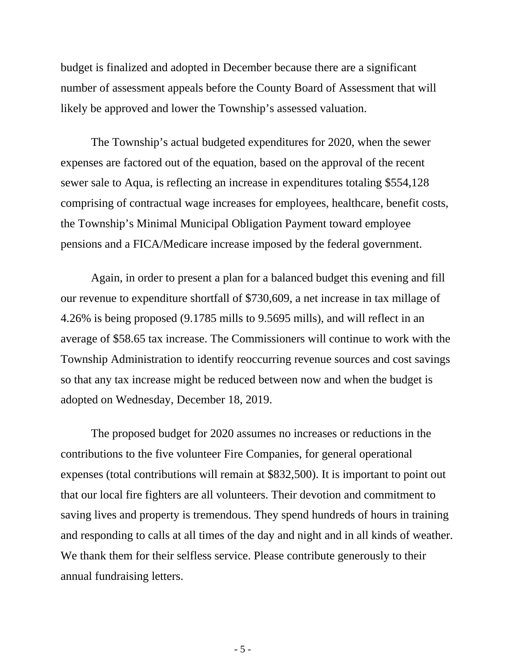budget is finalized and adopted in December because there are a significant number of assessment appeals before the County Board of Assessment that will likely be approved and lower the Township's assessed valuation.

The Township's actual budgeted expenditures for 2020, when the sewer expenses are factored out of the equation, based on the approval of the recent sewer sale to Aqua, is reflecting an increase in expenditures totaling \$554,128 comprising of contractual wage increases for employees, healthcare, benefit costs, the Township's Minimal Municipal Obligation Payment toward employee pensions and a FICA/Medicare increase imposed by the federal government.

Again, in order to present a plan for a balanced budget this evening and fill our revenue to expenditure shortfall of \$730,609, a net increase in tax millage of 4.26% is being proposed (9.1785 mills to 9.5695 mills), and will reflect in an average of \$58.65 tax increase. The Commissioners will continue to work with the Township Administration to identify reoccurring revenue sources and cost savings so that any tax increase might be reduced between now and when the budget is adopted on Wednesday, December 18, 2019.

The proposed budget for 2020 assumes no increases or reductions in the contributions to the five volunteer Fire Companies, for general operational expenses (total contributions will remain at \$832,500). It is important to point out that our local fire fighters are all volunteers. Their devotion and commitment to saving lives and property is tremendous. They spend hundreds of hours in training and responding to calls at all times of the day and night and in all kinds of weather. We thank them for their selfless service. Please contribute generously to their annual fundraising letters.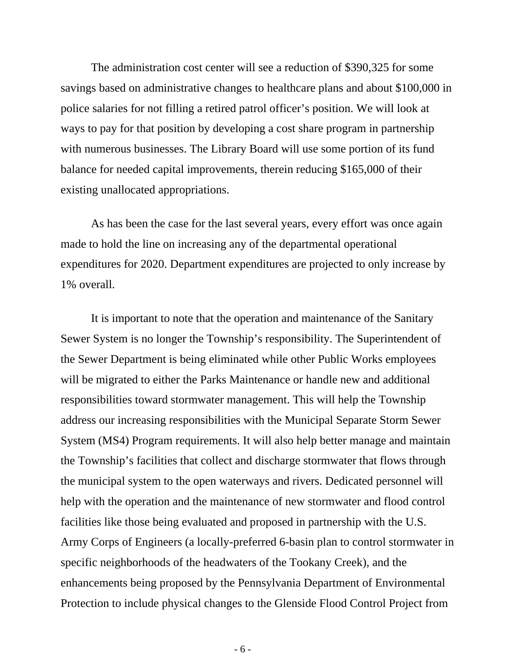The administration cost center will see a reduction of \$390,325 for some savings based on administrative changes to healthcare plans and about \$100,000 in police salaries for not filling a retired patrol officer's position. We will look at ways to pay for that position by developing a cost share program in partnership with numerous businesses. The Library Board will use some portion of its fund balance for needed capital improvements, therein reducing \$165,000 of their existing unallocated appropriations.

As has been the case for the last several years, every effort was once again made to hold the line on increasing any of the departmental operational expenditures for 2020. Department expenditures are projected to only increase by 1% overall.

It is important to note that the operation and maintenance of the Sanitary Sewer System is no longer the Township's responsibility. The Superintendent of the Sewer Department is being eliminated while other Public Works employees will be migrated to either the Parks Maintenance or handle new and additional responsibilities toward stormwater management. This will help the Township address our increasing responsibilities with the Municipal Separate Storm Sewer System (MS4) Program requirements. It will also help better manage and maintain the Township's facilities that collect and discharge stormwater that flows through the municipal system to the open waterways and rivers. Dedicated personnel will help with the operation and the maintenance of new stormwater and flood control facilities like those being evaluated and proposed in partnership with the U.S. Army Corps of Engineers (a locally-preferred 6-basin plan to control stormwater in specific neighborhoods of the headwaters of the Tookany Creek), and the enhancements being proposed by the Pennsylvania Department of Environmental Protection to include physical changes to the Glenside Flood Control Project from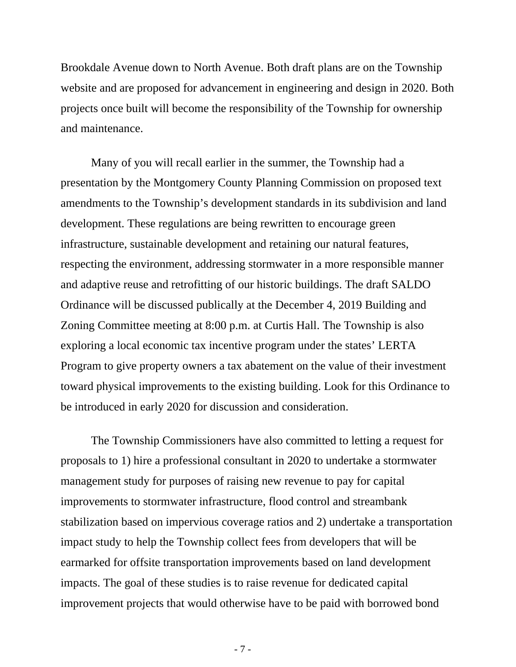Brookdale Avenue down to North Avenue. Both draft plans are on the Township website and are proposed for advancement in engineering and design in 2020. Both projects once built will become the responsibility of the Township for ownership and maintenance.

Many of you will recall earlier in the summer, the Township had a presentation by the Montgomery County Planning Commission on proposed text amendments to the Township's development standards in its subdivision and land development. These regulations are being rewritten to encourage green infrastructure, sustainable development and retaining our natural features, respecting the environment, addressing stormwater in a more responsible manner and adaptive reuse and retrofitting of our historic buildings. The draft SALDO Ordinance will be discussed publically at the December 4, 2019 Building and Zoning Committee meeting at 8:00 p.m. at Curtis Hall. The Township is also exploring a local economic tax incentive program under the states' LERTA Program to give property owners a tax abatement on the value of their investment toward physical improvements to the existing building. Look for this Ordinance to be introduced in early 2020 for discussion and consideration.

The Township Commissioners have also committed to letting a request for proposals to 1) hire a professional consultant in 2020 to undertake a stormwater management study for purposes of raising new revenue to pay for capital improvements to stormwater infrastructure, flood control and streambank stabilization based on impervious coverage ratios and 2) undertake a transportation impact study to help the Township collect fees from developers that will be earmarked for offsite transportation improvements based on land development impacts. The goal of these studies is to raise revenue for dedicated capital improvement projects that would otherwise have to be paid with borrowed bond

- 7 -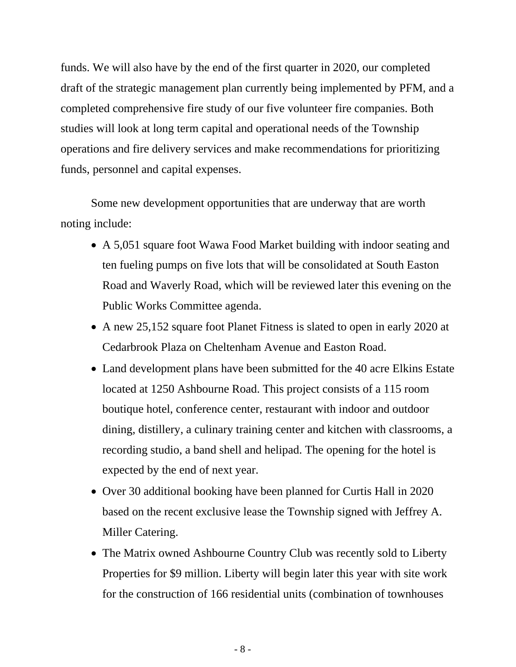funds. We will also have by the end of the first quarter in 2020, our completed draft of the strategic management plan currently being implemented by PFM, and a completed comprehensive fire study of our five volunteer fire companies. Both studies will look at long term capital and operational needs of the Township operations and fire delivery services and make recommendations for prioritizing funds, personnel and capital expenses.

Some new development opportunities that are underway that are worth noting include:

- A 5,051 square foot Wawa Food Market building with indoor seating and ten fueling pumps on five lots that will be consolidated at South Easton Road and Waverly Road, which will be reviewed later this evening on the Public Works Committee agenda.
- A new 25,152 square foot Planet Fitness is slated to open in early 2020 at Cedarbrook Plaza on Cheltenham Avenue and Easton Road.
- Land development plans have been submitted for the 40 acre Elkins Estate located at 1250 Ashbourne Road. This project consists of a 115 room boutique hotel, conference center, restaurant with indoor and outdoor dining, distillery, a culinary training center and kitchen with classrooms, a recording studio, a band shell and helipad. The opening for the hotel is expected by the end of next year.
- Over 30 additional booking have been planned for Curtis Hall in 2020 based on the recent exclusive lease the Township signed with Jeffrey A. Miller Catering.
- The Matrix owned Ashbourne Country Club was recently sold to Liberty Properties for \$9 million. Liberty will begin later this year with site work for the construction of 166 residential units (combination of townhouses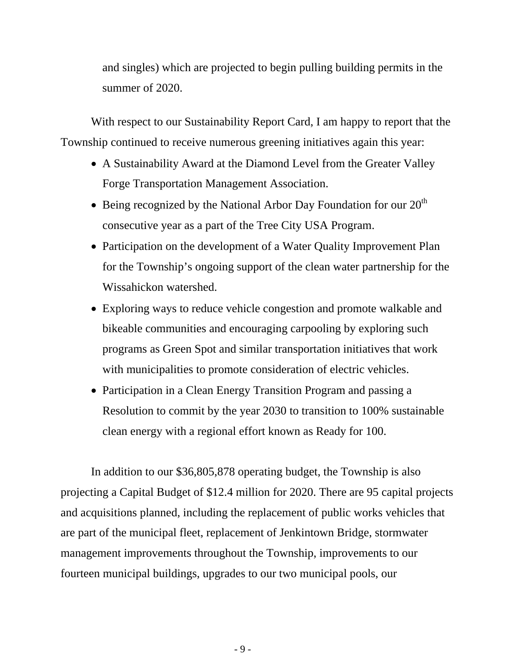and singles) which are projected to begin pulling building permits in the summer of 2020.

With respect to our Sustainability Report Card, I am happy to report that the Township continued to receive numerous greening initiatives again this year:

- A Sustainability Award at the Diamond Level from the Greater Valley Forge Transportation Management Association.
- Being recognized by the National Arbor Day Foundation for our  $20<sup>th</sup>$ consecutive year as a part of the Tree City USA Program.
- Participation on the development of a Water Quality Improvement Plan for the Township's ongoing support of the clean water partnership for the Wissahickon watershed.
- Exploring ways to reduce vehicle congestion and promote walkable and bikeable communities and encouraging carpooling by exploring such programs as Green Spot and similar transportation initiatives that work with municipalities to promote consideration of electric vehicles.
- Participation in a Clean Energy Transition Program and passing a Resolution to commit by the year 2030 to transition to 100% sustainable clean energy with a regional effort known as Ready for 100.

In addition to our \$36,805,878 operating budget, the Township is also projecting a Capital Budget of \$12.4 million for 2020. There are 95 capital projects and acquisitions planned, including the replacement of public works vehicles that are part of the municipal fleet, replacement of Jenkintown Bridge, stormwater management improvements throughout the Township, improvements to our fourteen municipal buildings, upgrades to our two municipal pools, our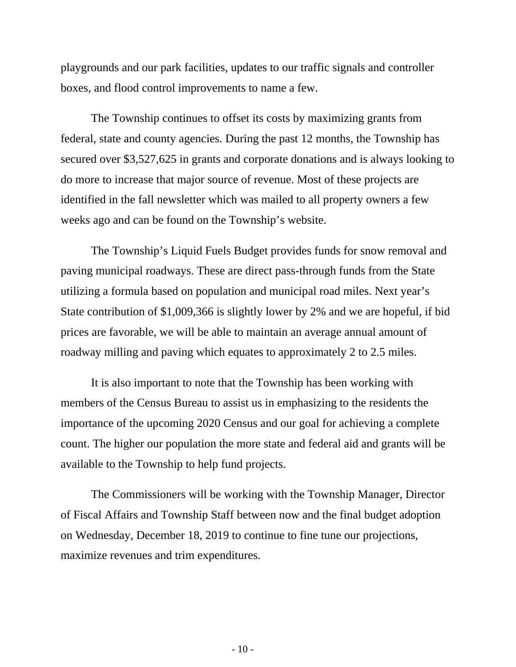playgrounds and our park facilities, updates to our traffic signals and controller boxes, and flood control improvements to name a few.

The Township continues to offset its costs by maximizing grants from federal, state and county agencies. During the past 12 months, the Township has secured over \$3,527,625 in grants and corporate donations and is always looking to do more to increase that major source of revenue. Most of these projects are identified in the fall newsletter which was mailed to all property owners a few weeks ago and can be found on the Township's website.

The Township's Liquid Fuels Budget provides funds for snow removal and paving municipal roadways. These are direct pass-through funds from the State utilizing a formula based on population and municipal road miles. Next year's State contribution of \$1,009,366 is slightly lower by 2% and we are hopeful, if bid prices are favorable, we will be able to maintain an average annual amount of roadway milling and paving which equates to approximately 2 to 2.5 miles.

It is also important to note that the Township has been working with members of the Census Bureau to assist us in emphasizing to the residents the importance of the upcoming 2020 Census and our goal for achieving a complete count. The higher our population the more state and federal aid and grants will be available to the Township to help fund projects.

The Commissioners will be working with the Township Manager, Director of Fiscal Affairs and Township Staff between now and the final budget adoption on Wednesday, December 18, 2019 to continue to fine tune our projections, maximize revenues and trim expenditures.